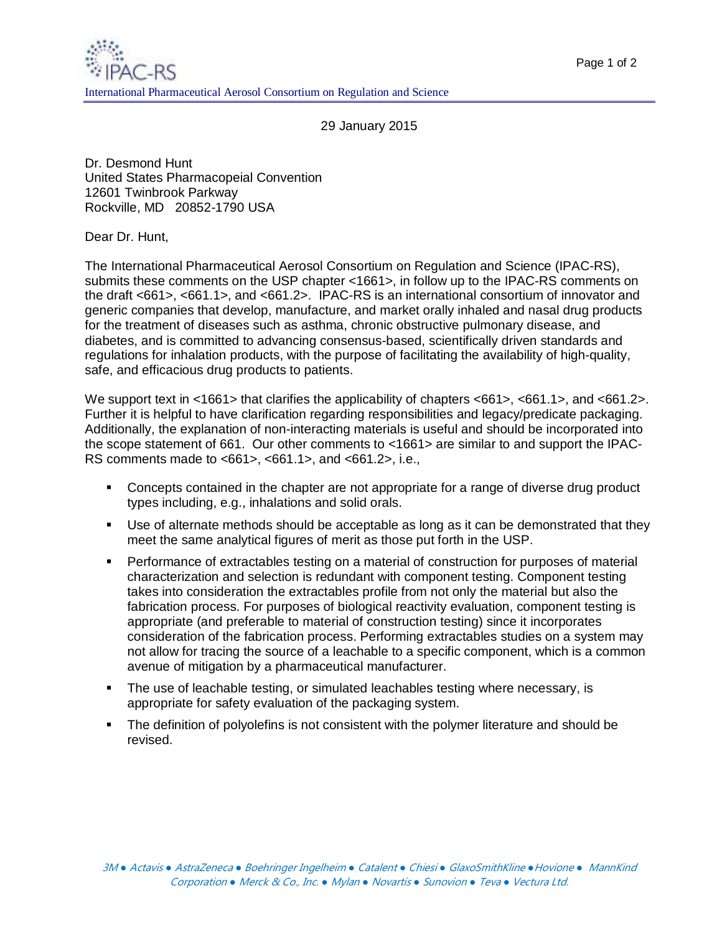29 January 2015

Dr. Desmond Hunt United States Pharmacopeial Convention 12601 Twinbrook Parkway Rockville, MD 20852-1790 USA

Dear Dr. Hunt,

The International Pharmaceutical Aerosol Consortium on Regulation and Science (IPAC-RS), submits these comments on the USP chapter <1661>, in follow up to the IPAC-RS comments on the draft <661>, <661.1>, and <661.2>. IPAC-RS is an international consortium of innovator and generic companies that develop, manufacture, and market orally inhaled and nasal drug products for the treatment of diseases such as asthma, chronic obstructive pulmonary disease, and diabetes, and is committed to advancing consensus-based, scientifically driven standards and regulations for inhalation products, with the purpose of facilitating the availability of high-quality, safe, and efficacious drug products to patients.

We support text in <1661> that clarifies the applicability of chapters <661>, <661.1>, and <661.2>. Further it is helpful to have clarification regarding responsibilities and legacy/predicate packaging. Additionally, the explanation of non-interacting materials is useful and should be incorporated into the scope statement of 661. Our other comments to <1661> are similar to and support the IPAC-RS comments made to <661>, <661.1>, and <661.2>, i.e.,

- Concepts contained in the chapter are not appropriate for a range of diverse drug product types including, e.g., inhalations and solid orals.
- Use of alternate methods should be acceptable as long as it can be demonstrated that they meet the same analytical figures of merit as those put forth in the USP.
- **Performance of extractables testing on a material of construction for purposes of material** characterization and selection is redundant with component testing. Component testing takes into consideration the extractables profile from not only the material but also the fabrication process. For purposes of biological reactivity evaluation, component testing is appropriate (and preferable to material of construction testing) since it incorporates consideration of the fabrication process. Performing extractables studies on a system may not allow for tracing the source of a leachable to a specific component, which is a common avenue of mitigation by a pharmaceutical manufacturer.
- The use of leachable testing, or simulated leachables testing where necessary, is appropriate for safety evaluation of the packaging system.
- **The definition of polyolefins is not consistent with the polymer literature and should be** revised.